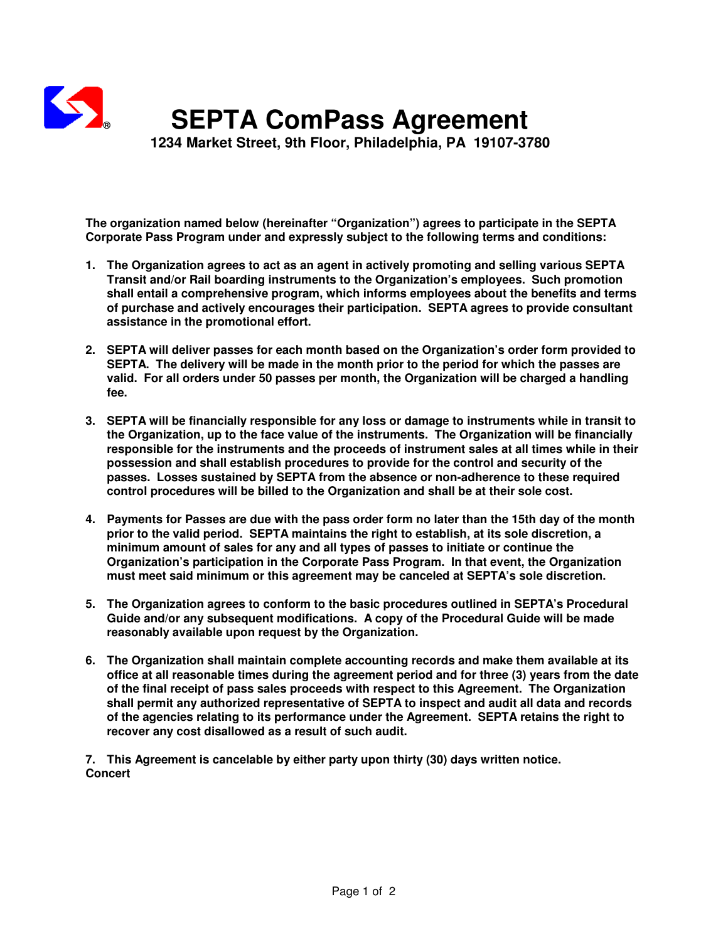

## **® SEPTA ComPass Agreement**

 **1234 Market Street, 9th Floor, Philadelphia, PA 19107-3780** 

**The organization named below (hereinafter "Organization") agrees to participate in the SEPTA Corporate Pass Program under and expressly subject to the following terms and conditions:** 

- **1. The Organization agrees to act as an agent in actively promoting and selling various SEPTA Transit and/or Rail boarding instruments to the Organization's employees. Such promotion shall entail a comprehensive program, which informs employees about the benefits and terms of purchase and actively encourages their participation. SEPTA agrees to provide consultant assistance in the promotional effort.**
- **2. SEPTA will deliver passes for each month based on the Organization's order form provided to SEPTA. The delivery will be made in the month prior to the period for which the passes are valid. For all orders under 50 passes per month, the Organization will be charged a handling fee.**
- **3. SEPTA will be financially responsible for any loss or damage to instruments while in transit to the Organization, up to the face value of the instruments. The Organization will be financially responsible for the instruments and the proceeds of instrument sales at all times while in their possession and shall establish procedures to provide for the control and security of the passes. Losses sustained by SEPTA from the absence or non-adherence to these required control procedures will be billed to the Organization and shall be at their sole cost.**
- **4. Payments for Passes are due with the pass order form no later than the 15th day of the month prior to the valid period. SEPTA maintains the right to establish, at its sole discretion, a minimum amount of sales for any and all types of passes to initiate or continue the Organization's participation in the Corporate Pass Program. In that event, the Organization must meet said minimum or this agreement may be canceled at SEPTA's sole discretion.**
- **5. The Organization agrees to conform to the basic procedures outlined in SEPTA's Procedural Guide and/or any subsequent modifications. A copy of the Procedural Guide will be made reasonably available upon request by the Organization.**
- **6. The Organization shall maintain complete accounting records and make them available at its office at all reasonable times during the agreement period and for three (3) years from the date of the final receipt of pass sales proceeds with respect to this Agreement. The Organization shall permit any authorized representative of SEPTA to inspect and audit all data and records of the agencies relating to its performance under the Agreement. SEPTA retains the right to recover any cost disallowed as a result of such audit.**

**7. This Agreement is cancelable by either party upon thirty (30) days written notice. Concert**